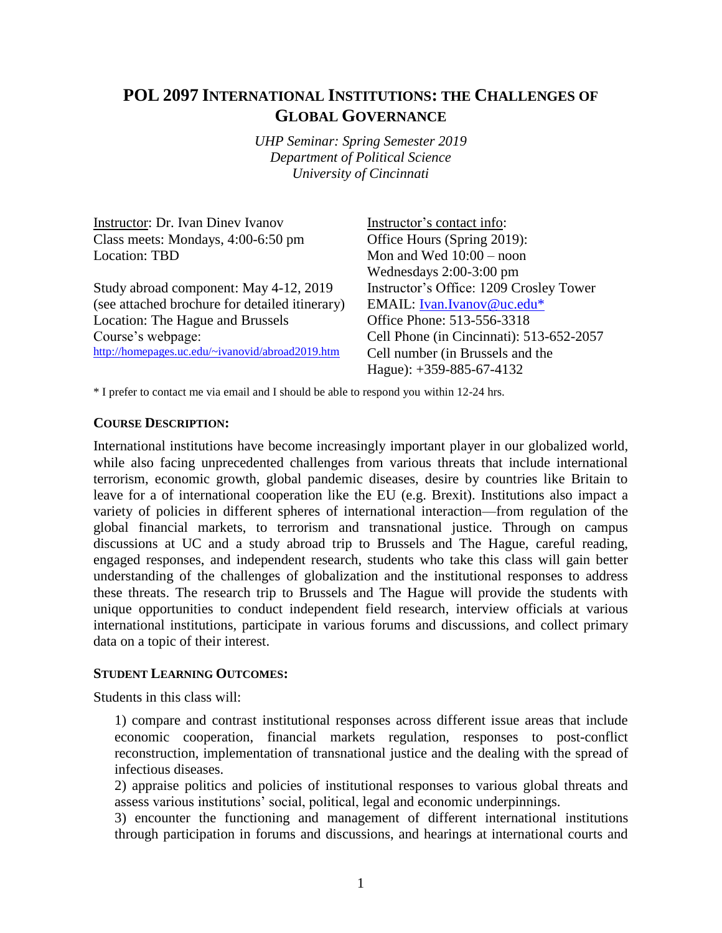# **POL 2097 INTERNATIONAL INSTITUTIONS: THE CHALLENGES OF GLOBAL GOVERNANCE**

*UHP Seminar: Spring Semester 2019 Department of Political Science University of Cincinnati*

| <b>Instructor: Dr. Ivan Diney Ivanov</b>         | Instructor's contact info:               |  |
|--------------------------------------------------|------------------------------------------|--|
| Class meets: Mondays, 4:00-6:50 pm               | Office Hours (Spring 2019):              |  |
| Location: TBD                                    | Mon and Wed $10:00 -$ noon               |  |
|                                                  | Wednesdays $2:00-3:00$ pm                |  |
| Study abroad component: May 4-12, 2019           | Instructor's Office: 1209 Crosley Tower  |  |
| (see attached brochure for detailed itinerary)   | EMAIL: Ivan.Ivanov@uc.edu*               |  |
| Location: The Hague and Brussels                 | Office Phone: 513-556-3318               |  |
| Course's webpage:                                | Cell Phone (in Cincinnati): 513-652-2057 |  |
| http://homepages.uc.edu/~ivanovid/abroad2019.htm | Cell number (in Brussels and the         |  |
|                                                  | Hague): $+359-885-67-4132$               |  |
|                                                  |                                          |  |

\* I prefer to contact me via email and I should be able to respond you within 12-24 hrs.

#### **COURSE DESCRIPTION:**

International institutions have become increasingly important player in our globalized world, while also facing unprecedented challenges from various threats that include international terrorism, economic growth, global pandemic diseases, desire by countries like Britain to leave for a of international cooperation like the EU (e.g. Brexit). Institutions also impact a variety of policies in different spheres of international interaction—from regulation of the global financial markets, to terrorism and transnational justice. Through on campus discussions at UC and a study abroad trip to Brussels and The Hague, careful reading, engaged responses, and independent research, students who take this class will gain better understanding of the challenges of globalization and the institutional responses to address these threats. The research trip to Brussels and The Hague will provide the students with unique opportunities to conduct independent field research, interview officials at various international institutions, participate in various forums and discussions, and collect primary data on a topic of their interest.

#### **STUDENT LEARNING OUTCOMES:**

Students in this class will:

1) compare and contrast institutional responses across different issue areas that include economic cooperation, financial markets regulation, responses to post-conflict reconstruction, implementation of transnational justice and the dealing with the spread of infectious diseases.

2) appraise politics and policies of institutional responses to various global threats and assess various institutions' social, political, legal and economic underpinnings.

3) encounter the functioning and management of different international institutions through participation in forums and discussions, and hearings at international courts and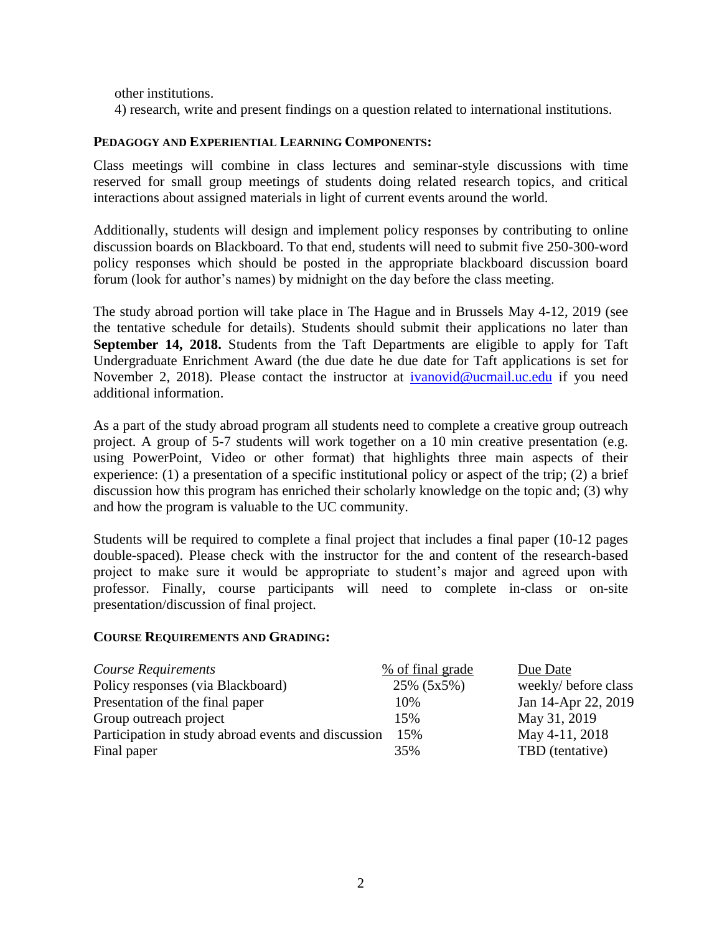other institutions.

4) research, write and present findings on a question related to international institutions.

#### **PEDAGOGY AND EXPERIENTIAL LEARNING COMPONENTS:**

Class meetings will combine in class lectures and seminar-style discussions with time reserved for small group meetings of students doing related research topics, and critical interactions about assigned materials in light of current events around the world.

Additionally, students will design and implement policy responses by contributing to online discussion boards on Blackboard. To that end, students will need to submit five 250-300-word policy responses which should be posted in the appropriate blackboard discussion board forum (look for author's names) by midnight on the day before the class meeting.

The study abroad portion will take place in The Hague and in Brussels May 4-12, 2019 (see the tentative schedule for details). Students should submit their applications no later than **September 14, 2018.** Students from the Taft Departments are eligible to apply for Taft Undergraduate Enrichment Award (the due date he due date for Taft applications is set for November 2, 2018). Please contact the instructor at [ivanovid@ucmail.uc.edu](mailto:ivanovid@ucmail.uc.edu) if you need additional information.

As a part of the study abroad program all students need to complete a creative group outreach project. A group of 5-7 students will work together on a 10 min creative presentation (e.g. using PowerPoint, Video or other format) that highlights three main aspects of their experience: (1) a presentation of a specific institutional policy or aspect of the trip; (2) a brief discussion how this program has enriched their scholarly knowledge on the topic and; (3) why and how the program is valuable to the UC community.

Students will be required to complete a final project that includes a final paper (10-12 pages double-spaced). Please check with the instructor for the and content of the research-based project to make sure it would be appropriate to student's major and agreed upon with professor. Finally, course participants will need to complete in-class or on-site presentation/discussion of final project.

#### **COURSE REQUIREMENTS AND GRADING:**

| Course Requirements                                 | % of final grade | Due Date             |
|-----------------------------------------------------|------------------|----------------------|
| Policy responses (via Blackboard)                   | 25% (5x5%)       | weekly/ before class |
| Presentation of the final paper                     | 10%              | Jan 14-Apr 22, 2019  |
| Group outreach project                              | 15%              | May 31, 2019         |
| Participation in study abroad events and discussion | 15%              | May 4-11, 2018       |
| Final paper                                         | 35%              | TBD (tentative)      |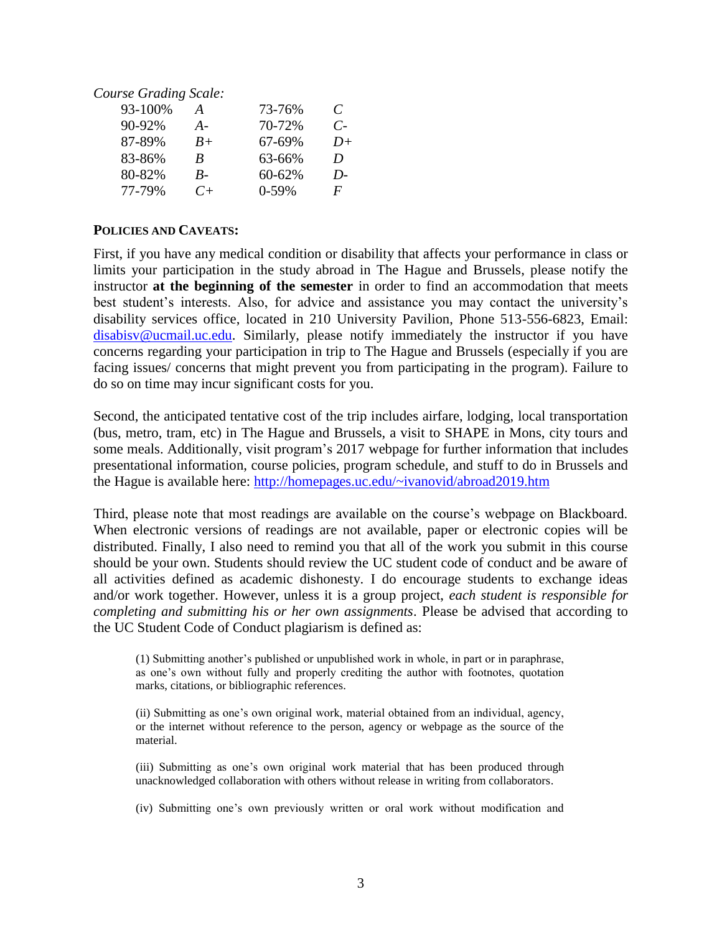*Course Grading Scale:* 93-100% *A* 73-76% *C* 90-92% *A-* 70-72% *C-*87-89% *B+* 67-69% *D+* 83-86% *B* 63-66% *D* 80-82% *B-* 60-62% *D-*77-79% *C+* 0-59% *F*

#### **POLICIES AND CAVEATS:**

First, if you have any medical condition or disability that affects your performance in class or limits your participation in the study abroad in The Hague and Brussels, please notify the instructor **at the beginning of the semester** in order to find an accommodation that meets best student's interests. Also, for advice and assistance you may contact the university's disability services office, located in 210 University Pavilion, Phone 513-556-6823, Email: [disabisv@ucmail.uc.edu.](mailto:disabisv@ucmail.uc.edu) Similarly, please notify immediately the instructor if you have concerns regarding your participation in trip to The Hague and Brussels (especially if you are facing issues/ concerns that might prevent you from participating in the program). Failure to do so on time may incur significant costs for you.

Second, the anticipated tentative cost of the trip includes airfare, lodging, local transportation (bus, metro, tram, etc) in The Hague and Brussels, a visit to SHAPE in Mons, city tours and some meals. Additionally, visit program's 2017 webpage for further information that includes presentational information, course policies, program schedule, and stuff to do in Brussels and the Hague is available here: <http://homepages.uc.edu/~ivanovid/abroad2019.htm>

Third, please note that most readings are available on the course's webpage on Blackboard. When electronic versions of readings are not available, paper or electronic copies will be distributed. Finally, I also need to remind you that all of the work you submit in this course should be your own. Students should review the UC student code of conduct and be aware of all activities defined as academic dishonesty. I do encourage students to exchange ideas and/or work together. However, unless it is a group project, *each student is responsible for completing and submitting his or her own assignments*. Please be advised that according to the UC Student Code of Conduct plagiarism is defined as:

(1) Submitting another's published or unpublished work in whole, in part or in paraphrase, as one's own without fully and properly crediting the author with footnotes, quotation marks, citations, or bibliographic references.

(ii) Submitting as one's own original work, material obtained from an individual, agency, or the internet without reference to the person, agency or webpage as the source of the material.

(iii) Submitting as one's own original work material that has been produced through unacknowledged collaboration with others without release in writing from collaborators.

(iv) Submitting one's own previously written or oral work without modification and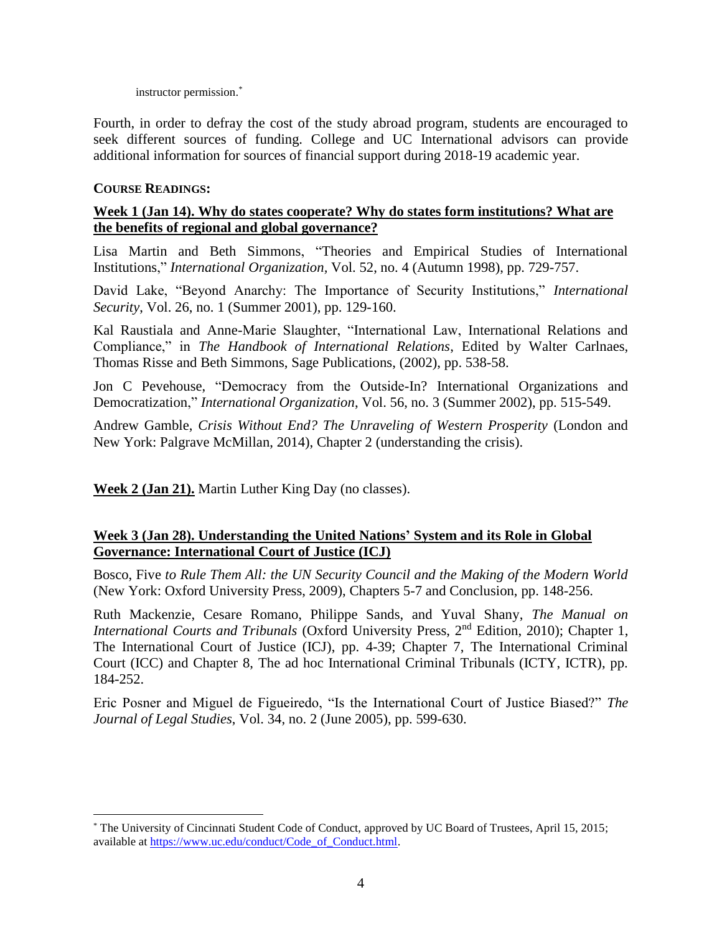instructor permission. \*

Fourth, in order to defray the cost of the study abroad program, students are encouraged to seek different sources of funding. College and UC International advisors can provide additional information for sources of financial support during 2018-19 academic year.

# **COURSE READINGS:**

 $\overline{a}$ 

# **Week 1 (Jan 14). Why do states cooperate? Why do states form institutions? What are the benefits of regional and global governance?**

Lisa Martin and Beth Simmons, "Theories and Empirical Studies of International Institutions," *International Organization,* Vol. 52, no. 4 (Autumn 1998), pp. 729-757.

David Lake, "Beyond Anarchy: The Importance of Security Institutions," *International Security*, Vol. 26, no. 1 (Summer 2001), pp. 129-160.

Kal Raustiala and Anne-Marie Slaughter, "International Law, International Relations and Compliance," in *The Handbook of International Relations*, Edited by Walter Carlnaes, Thomas Risse and Beth Simmons, Sage Publications, (2002), pp. 538-58.

Jon C Pevehouse, "Democracy from the Outside-In? International Organizations and Democratization," *International Organization*, Vol. 56, no. 3 (Summer 2002), pp. 515-549.

Andrew Gamble, *Crisis Without End? The Unraveling of Western Prosperity* (London and New York: Palgrave McMillan, 2014), Chapter 2 (understanding the crisis).

**Week 2 (Jan 21).** Martin Luther King Day (no classes).

# **Week 3 (Jan 28). Understanding the United Nations' System and its Role in Global Governance: International Court of Justice (ICJ)**

Bosco, Five *to Rule Them All: the UN Security Council and the Making of the Modern World* (New York: Oxford University Press, 2009), Chapters 5-7 and Conclusion, pp. 148-256.

Ruth Mackenzie, Cesare Romano, Philippe Sands, and Yuval Shany, *The Manual on International Courts and Tribunals* (Oxford University Press, 2<sup>nd</sup> Edition, 2010); Chapter 1, The International Court of Justice (ICJ), pp. 4-39; Chapter 7, The International Criminal Court (ICC) and Chapter 8, The ad hoc International Criminal Tribunals (ICTY, ICTR), pp. 184-252.

Eric Posner and Miguel de Figueiredo, "Is the International Court of Justice Biased?" *The Journal of Legal Studies*, Vol. 34, no. 2 (June 2005), pp. 599-630.

<sup>\*</sup> The University of Cincinnati Student Code of Conduct, approved by UC Board of Trustees, April 15, 2015; available at [https://www.uc.edu/conduct/Code\\_of\\_Conduct.html.](https://www.uc.edu/conduct/Code_of_Conduct.html)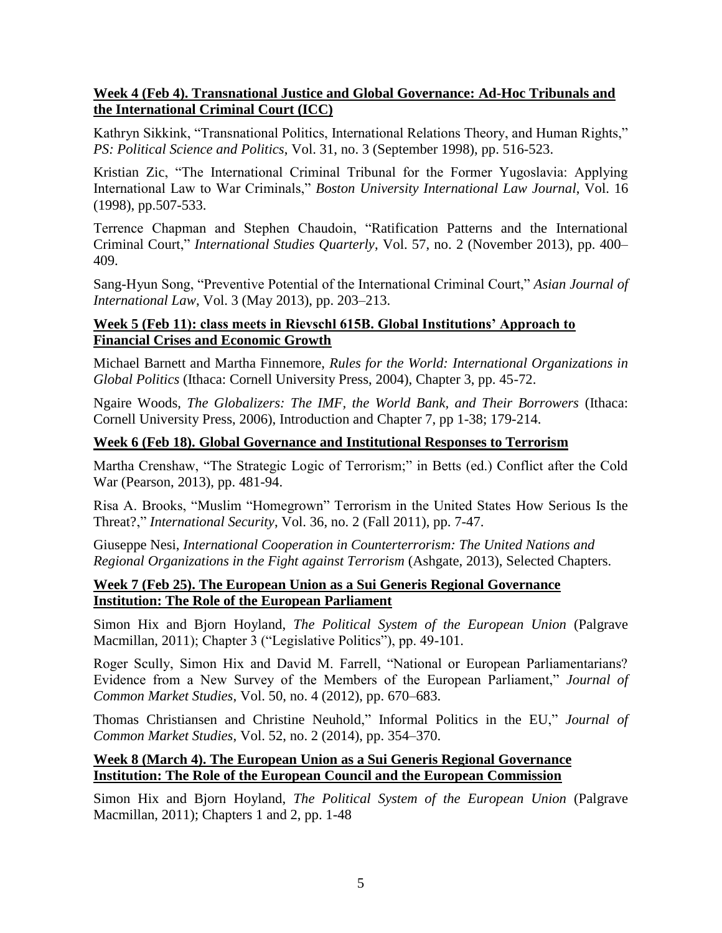# **Week 4 (Feb 4). Transnational Justice and Global Governance: Ad-Hoc Tribunals and the International Criminal Court (ICC)**

Kathryn Sikkink, "Transnational Politics, International Relations Theory, and Human Rights," *PS: Political Science and Politics*, Vol. 31, no. 3 (September 1998), pp. 516-523.

Kristian Zic, "The International Criminal Tribunal for the Former Yugoslavia: Applying International Law to War Criminals," *Boston University International Law Journal*, Vol. 16 (1998), pp.507-533.

Terrence Chapman and Stephen Chaudoin, "Ratification Patterns and the International Criminal Court," *International Studies Quarterly*, Vol. 57, no. 2 (November 2013), pp. 400– 409.

Sang-Hyun Song, "Preventive Potential of the International Criminal Court," *Asian Journal of International Law*, Vol. 3 (May 2013), pp. 203–213.

# **Week 5 (Feb 11): class meets in Rievschl 615B. Global Institutions' Approach to Financial Crises and Economic Growth**

Michael Barnett and Martha Finnemore, *Rules for the World: International Organizations in Global Politics* (Ithaca: Cornell University Press, 2004), Chapter 3, pp. 45-72.

Ngaire Woods, *The Globalizers: The IMF, the World Bank, and Their Borrowers* (Ithaca: Cornell University Press, 2006), Introduction and Chapter 7, pp 1-38; 179-214.

#### **Week 6 (Feb 18). Global Governance and Institutional Responses to Terrorism**

Martha Crenshaw, "The Strategic Logic of Terrorism;" in Betts (ed.) Conflict after the Cold War (Pearson, 2013), pp. 481-94.

Risa A. Brooks, "Muslim "Homegrown" Terrorism in the United States How Serious Is the Threat?," *International Security*, Vol. 36, no. 2 (Fall 2011), pp. 7-47.

Giuseppe Nesi, *International Cooperation in Counterterrorism: The United Nations and Regional Organizations in the Fight against Terrorism* (Ashgate, 2013), Selected Chapters.

# **Week 7 (Feb 25). The European Union as a Sui Generis Regional Governance Institution: The Role of the European Parliament**

Simon Hix and Bjorn Hoyland, *The Political System of the European Union* (Palgrave Macmillan, 2011); Chapter 3 ("Legislative Politics"), pp. 49-101.

Roger Scully, Simon Hix and David M. Farrell, "National or European Parliamentarians? Evidence from a New Survey of the Members of the European Parliament," *Journal of Common Market Studies*, Vol. 50, no. 4 (2012), pp. 670–683.

Thomas Christiansen and Christine Neuhold," Informal Politics in the EU," *Journal of Common Market Studies*, Vol. 52, no. 2 (2014), pp. 354–370.

# **Week 8 (March 4). The European Union as a Sui Generis Regional Governance Institution: The Role of the European Council and the European Commission**

Simon Hix and Bjorn Hoyland, *The Political System of the European Union* (Palgrave Macmillan, 2011); Chapters 1 and 2, pp. 1-48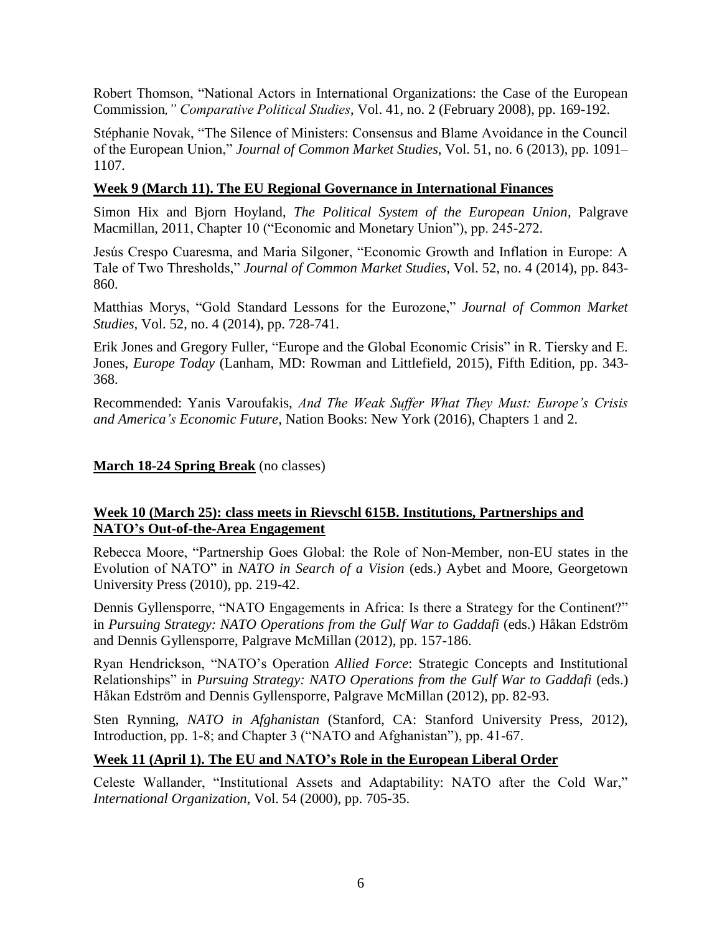Robert Thomson, "National Actors in International Organizations: the Case of the European Commission*," Comparative Political Studies*, Vol. 41, no. 2 (February 2008), pp. 169-192.

Stéphanie Novak, "The Silence of Ministers: Consensus and Blame Avoidance in the Council of the European Union," *Journal of Common Market Studies*, Vol. 51, no. 6 (2013), pp. 1091– 1107.

# **Week 9 (March 11). The EU Regional Governance in International Finances**

Simon Hix and Bjorn Hoyland, *The Political System of the European Union,* Palgrave Macmillan, 2011, Chapter 10 ("Economic and Monetary Union"), pp. 245-272.

Jesús Crespo Cuaresma, and Maria Silgoner, "Economic Growth and Inflation in Europe: A Tale of Two Thresholds," *Journal of Common Market Studies,* Vol. 52, no. 4 (2014), pp. 843- 860.

Matthias Morys, "Gold Standard Lessons for the Eurozone," *Journal of Common Market Studies,* Vol. 52, no. 4 (2014), pp. 728-741.

Erik Jones and Gregory Fuller, "Europe and the Global Economic Crisis" in R. Tiersky and E. Jones, *Europe Today* (Lanham, MD: Rowman and Littlefield, 2015), Fifth Edition, pp. 343- 368.

Recommended: Yanis Varoufakis, *And The Weak Suffer What They Must: Europe's Crisis and America's Economic Future,* Nation Books: New York (2016), Chapters 1 and 2.

# **March 18-24 Spring Break** (no classes)

# **Week 10 (March 25): class meets in Rievschl 615B. Institutions, Partnerships and NATO's Out-of-the-Area Engagement**

Rebecca Moore, "Partnership Goes Global: the Role of Non-Member, non-EU states in the Evolution of NATO" in *NATO in Search of a Vision* (eds.) Aybet and Moore, Georgetown University Press (2010), pp. 219-42.

Dennis Gyllensporre, "NATO Engagements in Africa: Is there a Strategy for the Continent?" in *Pursuing Strategy: NATO Operations from the Gulf War to Gaddafi* (eds.) Håkan Edström and Dennis Gyllensporre, Palgrave McMillan (2012), pp. 157-186.

Ryan Hendrickson, "NATO's Operation *Allied Force*: Strategic Concepts and Institutional Relationships" in *Pursuing Strategy: NATO Operations from the Gulf War to Gaddafi* (eds.) Håkan Edström and Dennis Gyllensporre, Palgrave McMillan (2012), pp. 82-93.

Sten Rynning, *NATO in Afghanistan* (Stanford, CA: Stanford University Press, 2012), Introduction, pp. 1-8; and Chapter 3 ("NATO and Afghanistan"), pp. 41-67.

# **Week 11 (April 1). The EU and NATO's Role in the European Liberal Order**

Celeste Wallander, "Institutional Assets and Adaptability: NATO after the Cold War," *International Organization*, Vol. 54 (2000), pp. 705-35.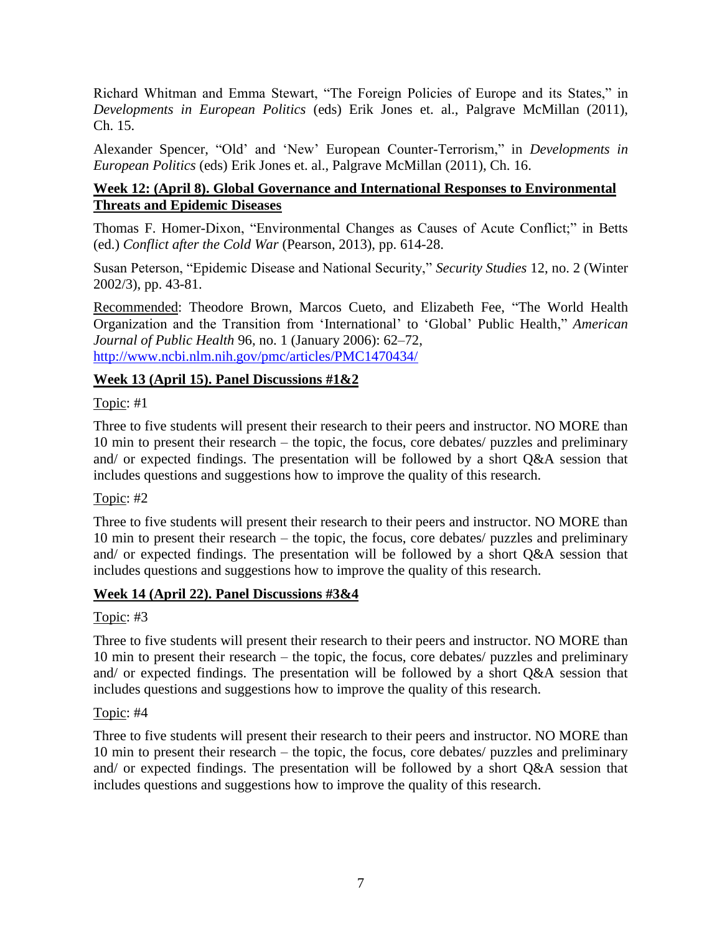Richard Whitman and Emma Stewart, "The Foreign Policies of Europe and its States," in *Developments in European Politics* (eds) Erik Jones et. al., Palgrave McMillan (2011), Ch. 15.

Alexander Spencer, "Old' and 'New' European Counter-Terrorism," in *Developments in European Politics* (eds) Erik Jones et. al., Palgrave McMillan (2011), Ch. 16.

# **Week 12: (April 8). Global Governance and International Responses to Environmental Threats and Epidemic Diseases**

Thomas F. Homer-Dixon, "Environmental Changes as Causes of Acute Conflict;" in Betts (ed.) *Conflict after the Cold War* (Pearson, 2013), pp. 614-28.

Susan Peterson, "Epidemic Disease and National Security," *Security Studies* 12, no. 2 (Winter 2002/3), pp. 43-81.

Recommended: Theodore Brown, Marcos Cueto, and Elizabeth Fee, "The World Health Organization and the Transition from 'International' to 'Global' Public Health," *American Journal of Public Health* 96, no. 1 (January 2006): 62–72, <http://www.ncbi.nlm.nih.gov/pmc/articles/PMC1470434/>

# **Week 13 (April 15). Panel Discussions #1&2**

Topic: #1

Three to five students will present their research to their peers and instructor. NO MORE than 10 min to present their research – the topic, the focus, core debates/ puzzles and preliminary and/ or expected findings. The presentation will be followed by a short Q&A session that includes questions and suggestions how to improve the quality of this research.

#### Topic: #2

Three to five students will present their research to their peers and instructor. NO MORE than 10 min to present their research – the topic, the focus, core debates/ puzzles and preliminary and/ or expected findings. The presentation will be followed by a short Q&A session that includes questions and suggestions how to improve the quality of this research.

#### **Week 14 (April 22). Panel Discussions #3&4**

Topic: #3

Three to five students will present their research to their peers and instructor. NO MORE than 10 min to present their research – the topic, the focus, core debates/ puzzles and preliminary and/ or expected findings. The presentation will be followed by a short Q&A session that includes questions and suggestions how to improve the quality of this research.

#### Topic: #4

Three to five students will present their research to their peers and instructor. NO MORE than 10 min to present their research – the topic, the focus, core debates/ puzzles and preliminary and/ or expected findings. The presentation will be followed by a short Q&A session that includes questions and suggestions how to improve the quality of this research.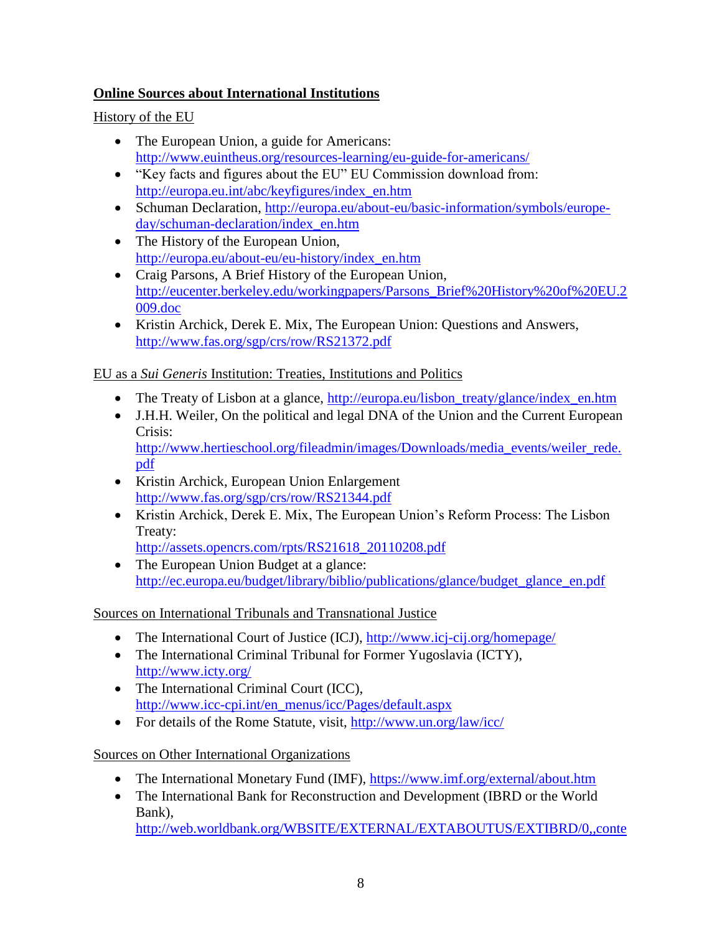# **Online Sources about International Institutions**

# History of the EU

- The European Union, a guide for Americans: <http://www.euintheus.org/resources-learning/eu-guide-for-americans/>
- "Key facts and figures about the EU" EU Commission download from: [http://europa.eu.int/abc/keyfigures/index\\_en.htm](http://europa.eu.int/abc/keyfigures/index_en.htm)
- Schuman Declaration, [http://europa.eu/about-eu/basic-information/symbols/europe](http://europa.eu/about-eu/basic-information/symbols/europe-day/schuman-declaration/index_en.htm)[day/schuman-declaration/index\\_en.htm](http://europa.eu/about-eu/basic-information/symbols/europe-day/schuman-declaration/index_en.htm)
- The History of the European Union, [http://europa.eu/about-eu/eu-history/index\\_en.htm](http://europa.eu/about-eu/eu-history/index_en.htm)
- Craig Parsons, A Brief History of the European Union, [http://eucenter.berkeley.edu/workingpapers/Parsons\\_Brief%20History%20of%20EU.2](http://eucenter.berkeley.edu/workingpapers/Parsons_Brief%20History%20of%20EU.2009.doc) [009.doc](http://eucenter.berkeley.edu/workingpapers/Parsons_Brief%20History%20of%20EU.2009.doc)
- Kristin Archick, Derek E. Mix, The European Union: Questions and Answers, <http://www.fas.org/sgp/crs/row/RS21372.pdf>

# EU as a *Sui Generis* Institution: Treaties, Institutions and Politics

- The Treaty of Lisbon at a glance, [http://europa.eu/lisbon\\_treaty/glance/index\\_en.htm](http://europa.eu/lisbon_treaty/glance/index_en.htm)
- J.H.H. Weiler, On the political and legal DNA of the Union and the Current European Crisis: [http://www.hertieschool.org/fileadmin/images/Downloads/media\\_events/weiler\\_rede.](http://www.hertieschool.org/fileadmin/images/Downloads/media_events/weiler_rede.pdf)

[pdf](http://www.hertieschool.org/fileadmin/images/Downloads/media_events/weiler_rede.pdf)

- Kristin Archick, European Union Enlargement <http://www.fas.org/sgp/crs/row/RS21344.pdf>
- Kristin Archick, Derek E. Mix, The European Union's Reform Process: The Lisbon Treaty:

[http://assets.opencrs.com/rpts/RS21618\\_20110208.pdf](http://assets.opencrs.com/rpts/RS21618_20110208.pdf)

• The European Union Budget at a glance: [http://ec.europa.eu/budget/library/biblio/publications/glance/budget\\_glance\\_en.pdf](http://ec.europa.eu/budget/library/biblio/publications/glance/budget_glance_en.pdf)

Sources on International Tribunals and Transnational Justice

- The International Court of Justice (ICJ),<http://www.icj-cij.org/homepage/>
- The International Criminal Tribunal for Former Yugoslavia (ICTY), <http://www.icty.org/>
- The International Criminal Court (ICC), [http://www.icc-cpi.int/en\\_menus/icc/Pages/default.aspx](http://www.icc-cpi.int/en_menus/icc/Pages/default.aspx)
- For details of the Rome Statute, visit,<http://www.un.org/law/icc/>

Sources on Other International Organizations

- The International Monetary Fund (IMF),<https://www.imf.org/external/about.htm>
- The International Bank for Reconstruction and Development (IBRD or the World Bank),

[http://web.worldbank.org/WBSITE/EXTERNAL/EXTABOUTUS/EXTIBRD/0,,conte](http://web.worldbank.org/WBSITE/EXTERNAL/EXTABOUTUS/EXTIBRD/0,,contentMDK:21130269~menuPK:3168298~pagePK:64168445~piPK:64168309~theSitePK:3046012,00.html)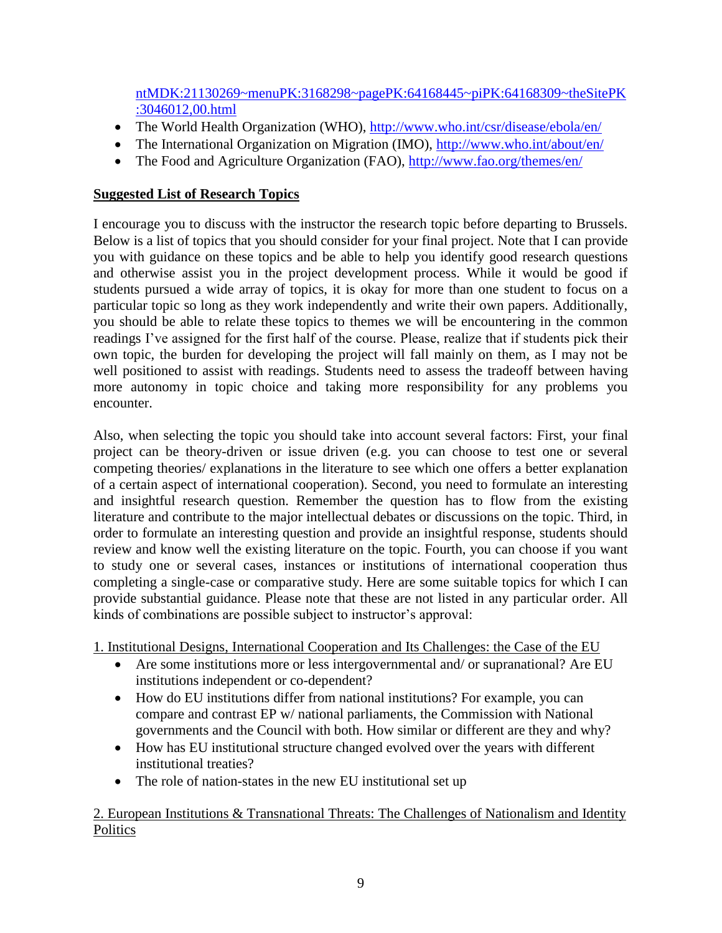[ntMDK:21130269~menuPK:3168298~pagePK:64168445~piPK:64168309~theSitePK](http://web.worldbank.org/WBSITE/EXTERNAL/EXTABOUTUS/EXTIBRD/0,,contentMDK:21130269~menuPK:3168298~pagePK:64168445~piPK:64168309~theSitePK:3046012,00.html) [:3046012,00.html](http://web.worldbank.org/WBSITE/EXTERNAL/EXTABOUTUS/EXTIBRD/0,,contentMDK:21130269~menuPK:3168298~pagePK:64168445~piPK:64168309~theSitePK:3046012,00.html)

- The World Health Organization (WHO),<http://www.who.int/csr/disease/ebola/en/>
- The International Organization on Migration (IMO),<http://www.who.int/about/en/>
- The Food and Agriculture Organization (FAO),<http://www.fao.org/themes/en/>

# **Suggested List of Research Topics**

I encourage you to discuss with the instructor the research topic before departing to Brussels. Below is a list of topics that you should consider for your final project. Note that I can provide you with guidance on these topics and be able to help you identify good research questions and otherwise assist you in the project development process. While it would be good if students pursued a wide array of topics, it is okay for more than one student to focus on a particular topic so long as they work independently and write their own papers. Additionally, you should be able to relate these topics to themes we will be encountering in the common readings I've assigned for the first half of the course. Please, realize that if students pick their own topic, the burden for developing the project will fall mainly on them, as I may not be well positioned to assist with readings. Students need to assess the tradeoff between having more autonomy in topic choice and taking more responsibility for any problems you encounter.

Also, when selecting the topic you should take into account several factors: First, your final project can be theory-driven or issue driven (e.g. you can choose to test one or several competing theories/ explanations in the literature to see which one offers a better explanation of a certain aspect of international cooperation). Second, you need to formulate an interesting and insightful research question. Remember the question has to flow from the existing literature and contribute to the major intellectual debates or discussions on the topic. Third, in order to formulate an interesting question and provide an insightful response, students should review and know well the existing literature on the topic. Fourth, you can choose if you want to study one or several cases, instances or institutions of international cooperation thus completing a single-case or comparative study. Here are some suitable topics for which I can provide substantial guidance. Please note that these are not listed in any particular order. All kinds of combinations are possible subject to instructor's approval:

1. Institutional Designs, International Cooperation and Its Challenges: the Case of the EU

- Are some institutions more or less intergovernmental and/ or supranational? Are EU institutions independent or co-dependent?
- How do EU institutions differ from national institutions? For example, you can compare and contrast EP w/ national parliaments, the Commission with National governments and the Council with both. How similar or different are they and why?
- How has EU institutional structure changed evolved over the years with different institutional treaties?
- The role of nation-states in the new EU institutional set up

# 2. European Institutions & Transnational Threats: The Challenges of Nationalism and Identity **Politics**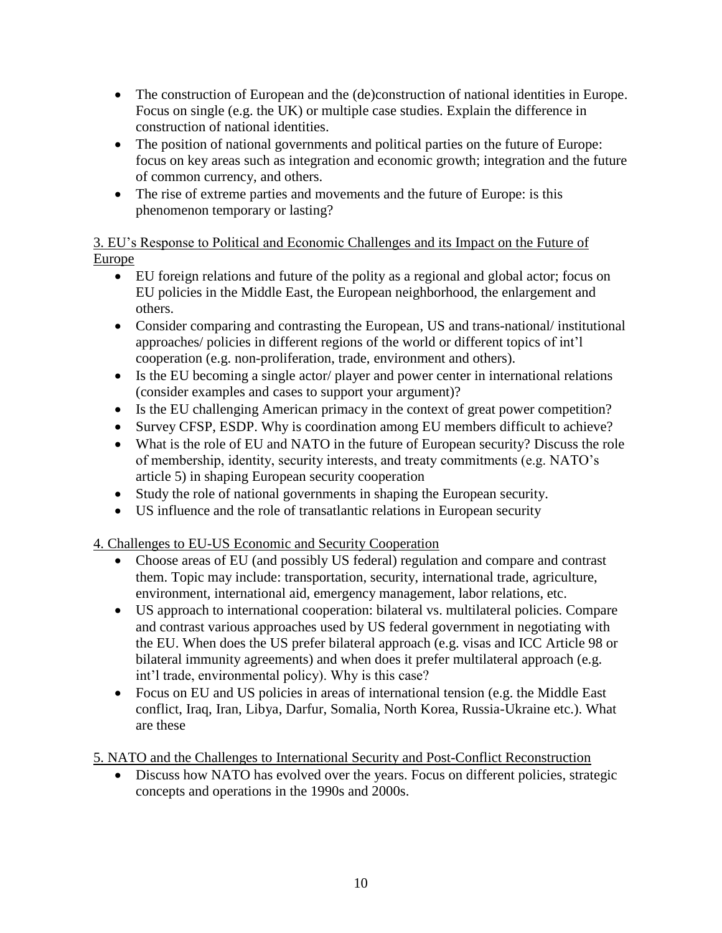- The construction of European and the (de)construction of national identities in Europe. Focus on single (e.g. the UK) or multiple case studies. Explain the difference in construction of national identities.
- The position of national governments and political parties on the future of Europe: focus on key areas such as integration and economic growth; integration and the future of common currency, and others.
- The rise of extreme parties and movements and the future of Europe: is this phenomenon temporary or lasting?

# 3. EU's Response to Political and Economic Challenges and its Impact on the Future of Europe

- EU foreign relations and future of the polity as a regional and global actor; focus on EU policies in the Middle East, the European neighborhood, the enlargement and others.
- Consider comparing and contrasting the European, US and trans-national/ institutional approaches/ policies in different regions of the world or different topics of int'l cooperation (e.g. non-proliferation, trade, environment and others).
- Is the EU becoming a single actor/ player and power center in international relations (consider examples and cases to support your argument)?
- Is the EU challenging American primacy in the context of great power competition?
- Survey CFSP, ESDP. Why is coordination among EU members difficult to achieve?
- What is the role of EU and NATO in the future of European security? Discuss the role of membership, identity, security interests, and treaty commitments (e.g. NATO's article 5) in shaping European security cooperation
- Study the role of national governments in shaping the European security.
- US influence and the role of transatlantic relations in European security

# 4. Challenges to EU-US Economic and Security Cooperation

- Choose areas of EU (and possibly US federal) regulation and compare and contrast them. Topic may include: transportation, security, international trade, agriculture, environment, international aid, emergency management, labor relations, etc.
- US approach to international cooperation: bilateral vs. multilateral policies. Compare and contrast various approaches used by US federal government in negotiating with the EU. When does the US prefer bilateral approach (e.g. visas and ICC Article 98 or bilateral immunity agreements) and when does it prefer multilateral approach (e.g. int'l trade, environmental policy). Why is this case?
- Focus on EU and US policies in areas of international tension (e.g. the Middle East conflict, Iraq, Iran, Libya, Darfur, Somalia, North Korea, Russia-Ukraine etc.). What are these

# 5. NATO and the Challenges to International Security and Post-Conflict Reconstruction

• Discuss how NATO has evolved over the years. Focus on different policies, strategic concepts and operations in the 1990s and 2000s.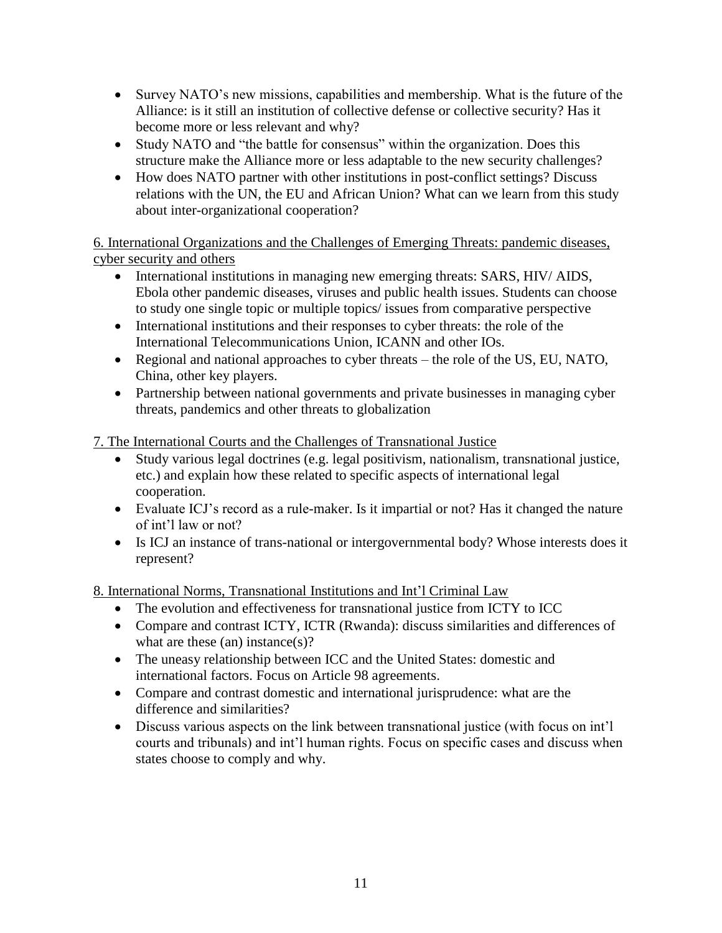- Survey NATO's new missions, capabilities and membership. What is the future of the Alliance: is it still an institution of collective defense or collective security? Has it become more or less relevant and why?
- Study NATO and "the battle for consensus" within the organization. Does this structure make the Alliance more or less adaptable to the new security challenges?
- How does NATO partner with other institutions in post-conflict settings? Discuss relations with the UN, the EU and African Union? What can we learn from this study about inter-organizational cooperation?

6. International Organizations and the Challenges of Emerging Threats: pandemic diseases, cyber security and others

- International institutions in managing new emerging threats: SARS, HIV/ AIDS, Ebola other pandemic diseases, viruses and public health issues. Students can choose to study one single topic or multiple topics/ issues from comparative perspective
- International institutions and their responses to cyber threats: the role of the International Telecommunications Union, ICANN and other IOs.
- Regional and national approaches to cyber threats the role of the US, EU, NATO, China, other key players.
- Partnership between national governments and private businesses in managing cyber threats, pandemics and other threats to globalization

7. The International Courts and the Challenges of Transnational Justice

- Study various legal doctrines (e.g. legal positivism, nationalism, transnational justice, etc.) and explain how these related to specific aspects of international legal cooperation.
- Evaluate ICJ's record as a rule-maker. Is it impartial or not? Has it changed the nature of int'l law or not?
- Is ICJ an instance of trans-national or intergovernmental body? Whose interests does it represent?

8. International Norms, Transnational Institutions and Int'l Criminal Law

- The evolution and effectiveness for transnational justice from ICTY to ICC
- Compare and contrast ICTY, ICTR (Rwanda): discuss similarities and differences of what are these (an) instance(s)?
- The uneasy relationship between ICC and the United States: domestic and international factors. Focus on Article 98 agreements.
- Compare and contrast domestic and international jurisprudence: what are the difference and similarities?
- Discuss various aspects on the link between transnational justice (with focus on int'l courts and tribunals) and int'l human rights. Focus on specific cases and discuss when states choose to comply and why.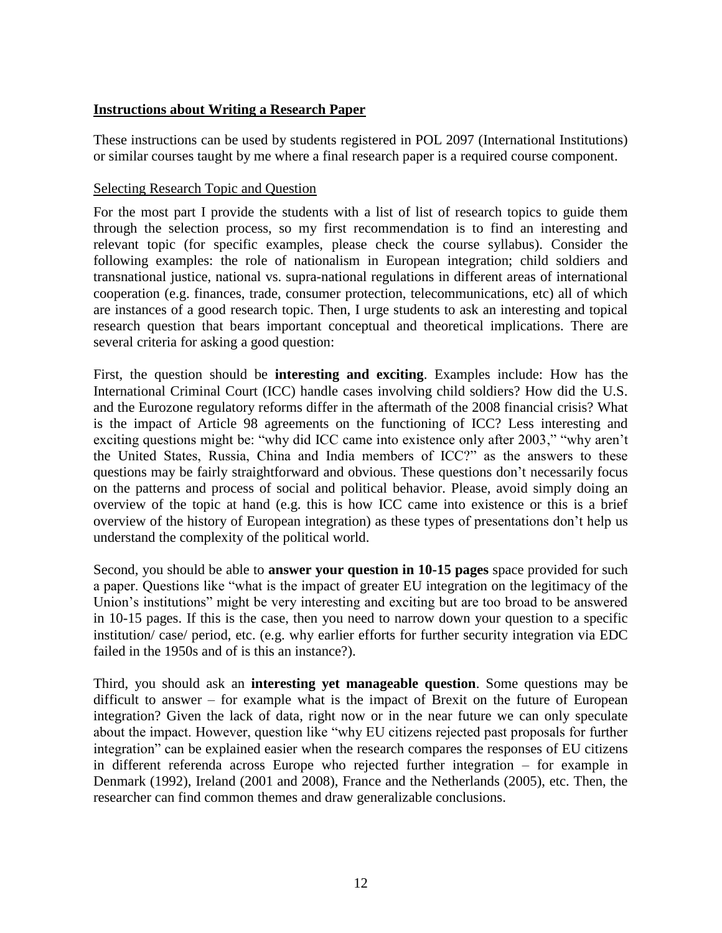# **Instructions about Writing a Research Paper**

These instructions can be used by students registered in POL 2097 (International Institutions) or similar courses taught by me where a final research paper is a required course component.

## Selecting Research Topic and Question

For the most part I provide the students with a list of list of research topics to guide them through the selection process, so my first recommendation is to find an interesting and relevant topic (for specific examples, please check the course syllabus). Consider the following examples: the role of nationalism in European integration; child soldiers and transnational justice, national vs. supra-national regulations in different areas of international cooperation (e.g. finances, trade, consumer protection, telecommunications, etc) all of which are instances of a good research topic. Then, I urge students to ask an interesting and topical research question that bears important conceptual and theoretical implications. There are several criteria for asking a good question:

First, the question should be **interesting and exciting**. Examples include: How has the International Criminal Court (ICC) handle cases involving child soldiers? How did the U.S. and the Eurozone regulatory reforms differ in the aftermath of the 2008 financial crisis? What is the impact of Article 98 agreements on the functioning of ICC? Less interesting and exciting questions might be: "why did ICC came into existence only after 2003," "why aren't the United States, Russia, China and India members of ICC?" as the answers to these questions may be fairly straightforward and obvious. These questions don't necessarily focus on the patterns and process of social and political behavior. Please, avoid simply doing an overview of the topic at hand (e.g. this is how ICC came into existence or this is a brief overview of the history of European integration) as these types of presentations don't help us understand the complexity of the political world.

Second, you should be able to **answer your question in 10-15 pages** space provided for such a paper. Questions like "what is the impact of greater EU integration on the legitimacy of the Union's institutions" might be very interesting and exciting but are too broad to be answered in 10-15 pages. If this is the case, then you need to narrow down your question to a specific institution/ case/ period, etc. (e.g. why earlier efforts for further security integration via EDC failed in the 1950s and of is this an instance?).

Third, you should ask an **interesting yet manageable question**. Some questions may be difficult to answer – for example what is the impact of Brexit on the future of European integration? Given the lack of data, right now or in the near future we can only speculate about the impact. However, question like "why EU citizens rejected past proposals for further integration" can be explained easier when the research compares the responses of EU citizens in different referenda across Europe who rejected further integration – for example in Denmark (1992), Ireland (2001 and 2008), France and the Netherlands (2005), etc. Then, the researcher can find common themes and draw generalizable conclusions.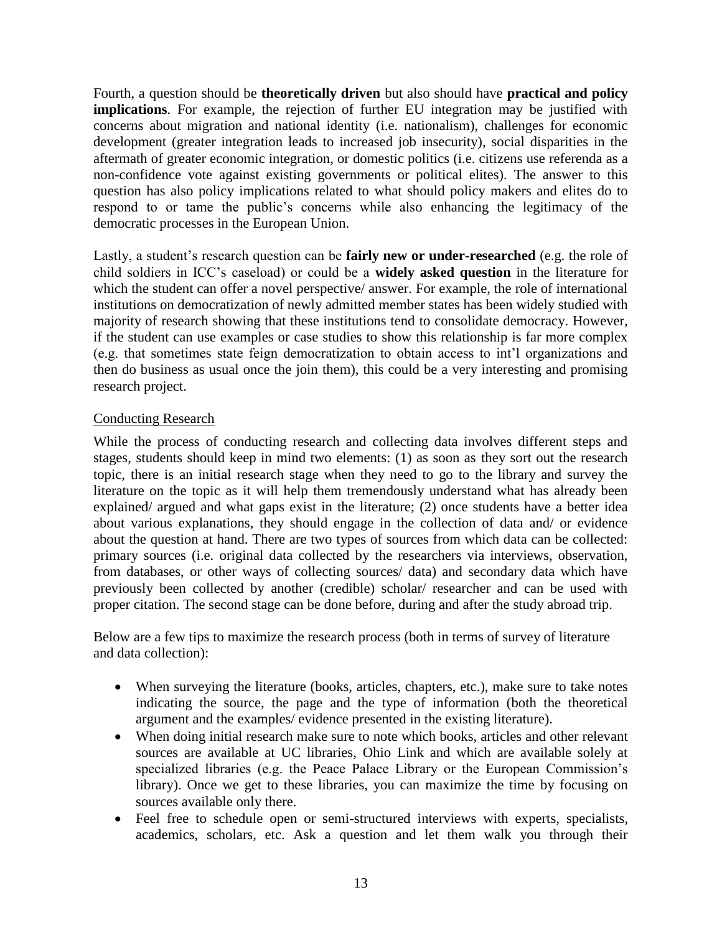Fourth, a question should be **theoretically driven** but also should have **practical and policy implications**. For example, the rejection of further EU integration may be justified with concerns about migration and national identity (i.e. nationalism), challenges for economic development (greater integration leads to increased job insecurity), social disparities in the aftermath of greater economic integration, or domestic politics (i.e. citizens use referenda as a non-confidence vote against existing governments or political elites). The answer to this question has also policy implications related to what should policy makers and elites do to respond to or tame the public's concerns while also enhancing the legitimacy of the democratic processes in the European Union.

Lastly, a student's research question can be **fairly new or under-researched** (e.g. the role of child soldiers in ICC's caseload) or could be a **widely asked question** in the literature for which the student can offer a novel perspective/ answer. For example, the role of international institutions on democratization of newly admitted member states has been widely studied with majority of research showing that these institutions tend to consolidate democracy. However, if the student can use examples or case studies to show this relationship is far more complex (e.g. that sometimes state feign democratization to obtain access to int'l organizations and then do business as usual once the join them), this could be a very interesting and promising research project.

# Conducting Research

While the process of conducting research and collecting data involves different steps and stages, students should keep in mind two elements: (1) as soon as they sort out the research topic, there is an initial research stage when they need to go to the library and survey the literature on the topic as it will help them tremendously understand what has already been explained/ argued and what gaps exist in the literature; (2) once students have a better idea about various explanations, they should engage in the collection of data and/ or evidence about the question at hand. There are two types of sources from which data can be collected: primary sources (i.e. original data collected by the researchers via interviews, observation, from databases, or other ways of collecting sources/ data) and secondary data which have previously been collected by another (credible) scholar/ researcher and can be used with proper citation. The second stage can be done before, during and after the study abroad trip.

Below are a few tips to maximize the research process (both in terms of survey of literature and data collection):

- When surveying the literature (books, articles, chapters, etc.), make sure to take notes indicating the source, the page and the type of information (both the theoretical argument and the examples/ evidence presented in the existing literature).
- When doing initial research make sure to note which books, articles and other relevant sources are available at UC libraries, Ohio Link and which are available solely at specialized libraries (e.g. the Peace Palace Library or the European Commission's library). Once we get to these libraries, you can maximize the time by focusing on sources available only there.
- Feel free to schedule open or semi-structured interviews with experts, specialists, academics, scholars, etc. Ask a question and let them walk you through their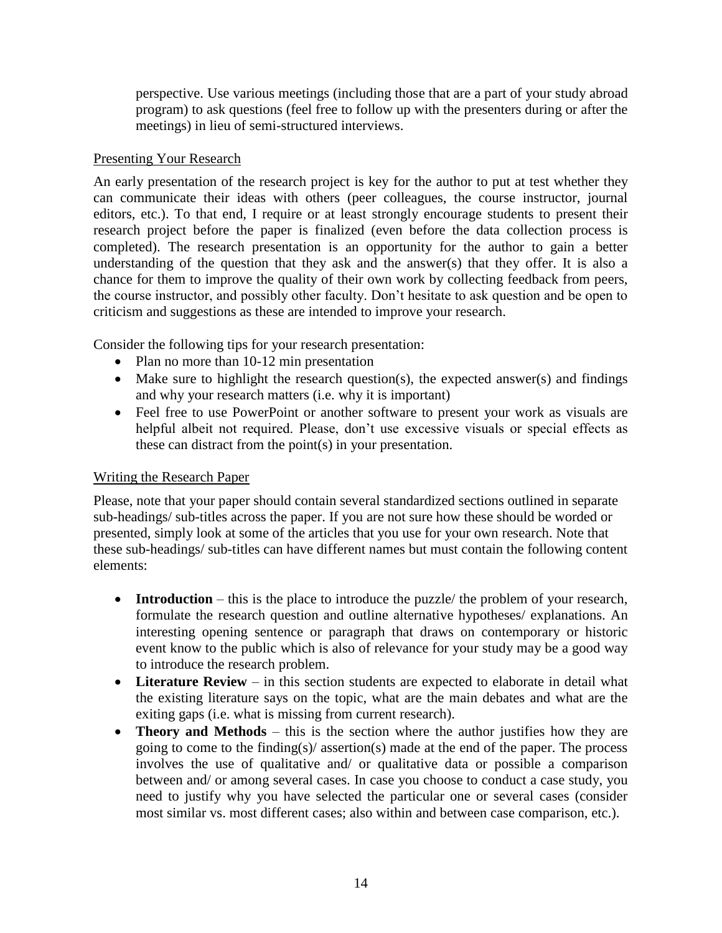perspective. Use various meetings (including those that are a part of your study abroad program) to ask questions (feel free to follow up with the presenters during or after the meetings) in lieu of semi-structured interviews.

## Presenting Your Research

An early presentation of the research project is key for the author to put at test whether they can communicate their ideas with others (peer colleagues, the course instructor, journal editors, etc.). To that end, I require or at least strongly encourage students to present their research project before the paper is finalized (even before the data collection process is completed). The research presentation is an opportunity for the author to gain a better understanding of the question that they ask and the answer(s) that they offer. It is also a chance for them to improve the quality of their own work by collecting feedback from peers, the course instructor, and possibly other faculty. Don't hesitate to ask question and be open to criticism and suggestions as these are intended to improve your research.

Consider the following tips for your research presentation:

- Plan no more than 10-12 min presentation
- Make sure to highlight the research question(s), the expected answer(s) and findings and why your research matters (i.e. why it is important)
- Feel free to use PowerPoint or another software to present your work as visuals are helpful albeit not required. Please, don't use excessive visuals or special effects as these can distract from the point(s) in your presentation.

# Writing the Research Paper

Please, note that your paper should contain several standardized sections outlined in separate sub-headings/ sub-titles across the paper. If you are not sure how these should be worded or presented, simply look at some of the articles that you use for your own research. Note that these sub-headings/ sub-titles can have different names but must contain the following content elements:

- **Introduction** this is the place to introduce the puzzle/ the problem of your research, formulate the research question and outline alternative hypotheses/ explanations. An interesting opening sentence or paragraph that draws on contemporary or historic event know to the public which is also of relevance for your study may be a good way to introduce the research problem.
- **Literature Review** in this section students are expected to elaborate in detail what the existing literature says on the topic, what are the main debates and what are the exiting gaps (i.e. what is missing from current research).
- **Theory and Methods** this is the section where the author justifies how they are going to come to the finding(s)/ assertion(s) made at the end of the paper. The process involves the use of qualitative and/ or qualitative data or possible a comparison between and/ or among several cases. In case you choose to conduct a case study, you need to justify why you have selected the particular one or several cases (consider most similar vs. most different cases; also within and between case comparison, etc.).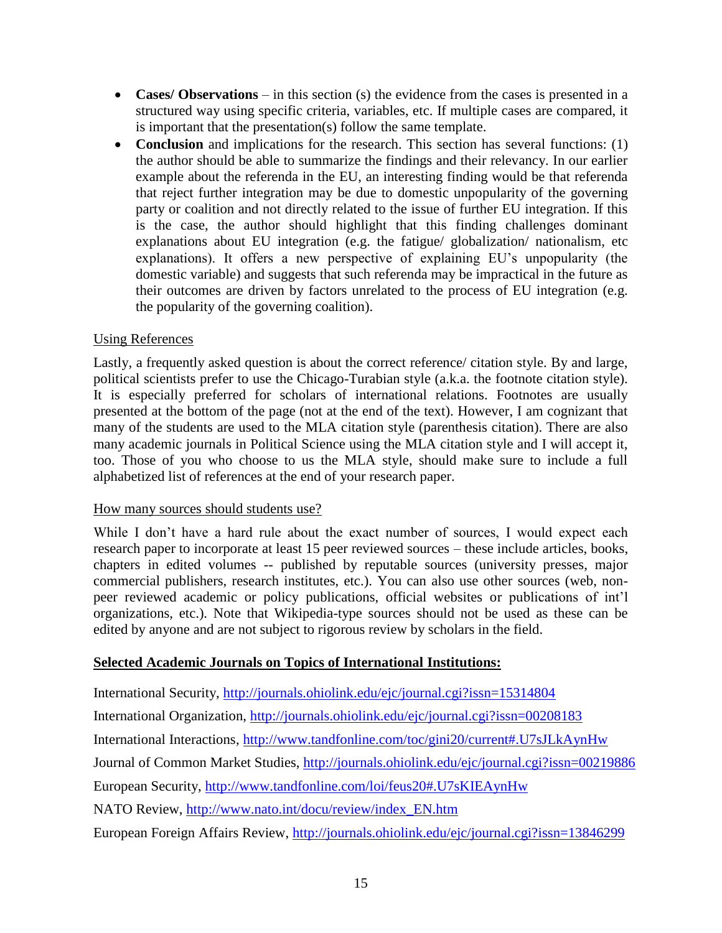- **Cases/ Observations** in this section (s) the evidence from the cases is presented in a structured way using specific criteria, variables, etc. If multiple cases are compared, it is important that the presentation(s) follow the same template.
- **Conclusion** and implications for the research. This section has several functions: (1) the author should be able to summarize the findings and their relevancy. In our earlier example about the referenda in the EU, an interesting finding would be that referenda that reject further integration may be due to domestic unpopularity of the governing party or coalition and not directly related to the issue of further EU integration. If this is the case, the author should highlight that this finding challenges dominant explanations about EU integration (e.g. the fatigue/ globalization/ nationalism, etc explanations). It offers a new perspective of explaining EU's unpopularity (the domestic variable) and suggests that such referenda may be impractical in the future as their outcomes are driven by factors unrelated to the process of EU integration (e.g. the popularity of the governing coalition).

# Using References

Lastly, a frequently asked question is about the correct reference/ citation style. By and large, political scientists prefer to use the Chicago-Turabian style (a.k.a. the footnote citation style). It is especially preferred for scholars of international relations. Footnotes are usually presented at the bottom of the page (not at the end of the text). However, I am cognizant that many of the students are used to the MLA citation style (parenthesis citation). There are also many academic journals in Political Science using the MLA citation style and I will accept it, too. Those of you who choose to us the MLA style, should make sure to include a full alphabetized list of references at the end of your research paper.

#### How many sources should students use?

While I don't have a hard rule about the exact number of sources, I would expect each research paper to incorporate at least 15 peer reviewed sources – these include articles, books, chapters in edited volumes -- published by reputable sources (university presses, major commercial publishers, research institutes, etc.). You can also use other sources (web, nonpeer reviewed academic or policy publications, official websites or publications of int'l organizations, etc.). Note that Wikipedia-type sources should not be used as these can be edited by anyone and are not subject to rigorous review by scholars in the field.

#### **Selected Academic Journals on Topics of International Institutions:**

International Security,<http://journals.ohiolink.edu/ejc/journal.cgi?issn=15314804>

International Organization,<http://journals.ohiolink.edu/ejc/journal.cgi?issn=00208183>

International Interactions,<http://www.tandfonline.com/toc/gini20/current#.U7sJLkAynHw>

Journal of Common Market Studies,<http://journals.ohiolink.edu/ejc/journal.cgi?issn=00219886>

European Security,<http://www.tandfonline.com/loi/feus20#.U7sKIEAynHw>

NATO Review, [http://www.nato.int/docu/review/index\\_EN.htm](http://www.nato.int/docu/review/index_EN.htm)

European Foreign Affairs Review,<http://journals.ohiolink.edu/ejc/journal.cgi?issn=13846299>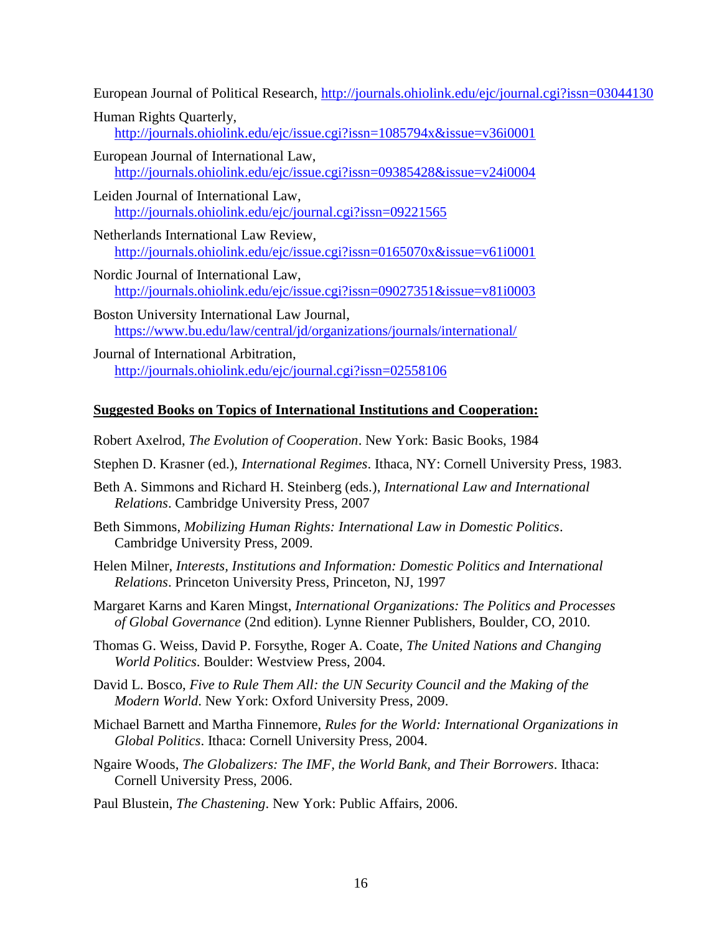European Journal of Political Research,<http://journals.ohiolink.edu/ejc/journal.cgi?issn=03044130>

- Human Rights Quarterly, <http://journals.ohiolink.edu/ejc/issue.cgi?issn=1085794x&issue=v36i0001>
- European Journal of International Law, <http://journals.ohiolink.edu/ejc/issue.cgi?issn=09385428&issue=v24i0004>
- Leiden Journal of International Law, <http://journals.ohiolink.edu/ejc/journal.cgi?issn=09221565>
- Netherlands International Law Review, <http://journals.ohiolink.edu/ejc/issue.cgi?issn=0165070x&issue=v61i0001>
- Nordic Journal of International Law, <http://journals.ohiolink.edu/ejc/issue.cgi?issn=09027351&issue=v81i0003>
- Boston University International Law Journal, <https://www.bu.edu/law/central/jd/organizations/journals/international/>
- Journal of International Arbitration, <http://journals.ohiolink.edu/ejc/journal.cgi?issn=02558106>

#### **Suggested Books on Topics of International Institutions and Cooperation:**

- Robert Axelrod, *The Evolution of Cooperation*. New York: Basic Books, 1984
- Stephen D. Krasner (ed.), *International Regimes*. Ithaca, NY: Cornell University Press, 1983.
- Beth A. Simmons and Richard H. Steinberg (eds.), *International Law and International Relations*. Cambridge University Press, 2007
- Beth Simmons, *Mobilizing Human Rights: International Law in Domestic Politics*. Cambridge University Press, 2009.
- Helen Milner, *Interests, Institutions and Information: Domestic Politics and International Relations*. Princeton University Press, Princeton, NJ, 1997
- Margaret Karns and Karen Mingst, *International Organizations: The Politics and Processes of Global Governance* (2nd edition). Lynne Rienner Publishers, Boulder, CO, 2010.
- Thomas G. Weiss, David P. Forsythe, Roger A. Coate, *The United Nations and Changing World Politics*. Boulder: Westview Press, 2004.
- David L. Bosco, *Five to Rule Them All: the UN Security Council and the Making of the Modern World*. New York: Oxford University Press, 2009.
- Michael Barnett and Martha Finnemore, *Rules for the World: International Organizations in Global Politics*. Ithaca: Cornell University Press, 2004.
- Ngaire Woods, *The Globalizers: The IMF, the World Bank, and Their Borrowers*. Ithaca: Cornell University Press, 2006.
- Paul Blustein, *The Chastening*. New York: Public Affairs, 2006.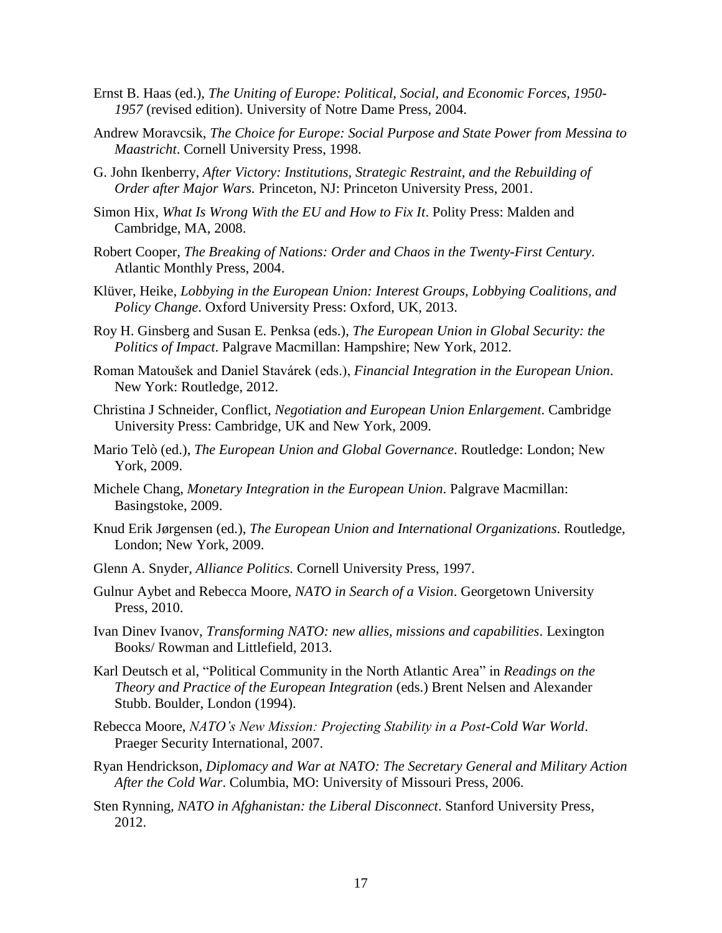- Ernst B. Haas (ed.), *The Uniting of Europe: Political, Social, and Economic Forces, 1950- 1957* (revised edition). University of Notre Dame Press, 2004.
- Andrew Moravcsik, *The Choice for Europe: Social Purpose and State Power from Messina to Maastricht*. Cornell University Press, 1998.
- G. John Ikenberry, *After Victory: Institutions, Strategic Restraint, and the Rebuilding of Order after Major Wars.* Princeton, NJ: Princeton University Press, 2001.
- Simon Hix, *What Is Wrong With the EU and How to Fix It*. Polity Press: Malden and Cambridge, MA, 2008.
- Robert Cooper, *The Breaking of Nations: Order and Chaos in the Twenty-First Century*. Atlantic Monthly Press, 2004.
- Klüver, Heike, *Lobbying in the European Union: Interest Groups, Lobbying Coalitions, and Policy Change*. Oxford University Press: Oxford, UK, 2013.
- Roy H. Ginsberg and Susan E. Penksa (eds.), *The European Union in Global Security: the Politics of Impact*. Palgrave Macmillan: Hampshire; New York, 2012.
- Roman Matoušek and Daniel Stavárek (eds.), *Financial Integration in the European Union*. New York: Routledge, 2012.
- Christina J Schneider, Conflict, *Negotiation and European Union Enlargement*. Cambridge University Press: Cambridge, UK and New York, 2009.
- Mario Telò (ed.), *The European Union and Global Governance*. Routledge: London; New York, 2009.
- Michele Chang, *Monetary Integration in the European Union*. Palgrave Macmillan: Basingstoke, 2009.
- Knud Erik Jørgensen (ed.), *The European Union and International Organizations*. Routledge, London; New York, 2009.
- Glenn A. Snyder, *Alliance Politics.* Cornell University Press, 1997.
- Gulnur Aybet and Rebecca Moore, *NATO in Search of a Vision*. Georgetown University Press, 2010.
- Ivan Dinev Ivanov, *Transforming NATO: new allies, missions and capabilities*. Lexington Books/ Rowman and Littlefield, 2013.
- Karl Deutsch et al, "Political Community in the North Atlantic Area" in *Readings on the Theory and Practice of the European Integration* (eds.) Brent Nelsen and Alexander Stubb. Boulder, London (1994).
- Rebecca Moore, *NATO's New Mission: Projecting Stability in a Post-Cold War World*. Praeger Security International, 2007.
- Ryan Hendrickson, *Diplomacy and War at NATO: The Secretary General and Military Action After the Cold War*. Columbia, MO: University of Missouri Press, 2006.
- Sten Rynning, *NATO in Afghanistan: the Liberal Disconnect*. Stanford University Press, 2012.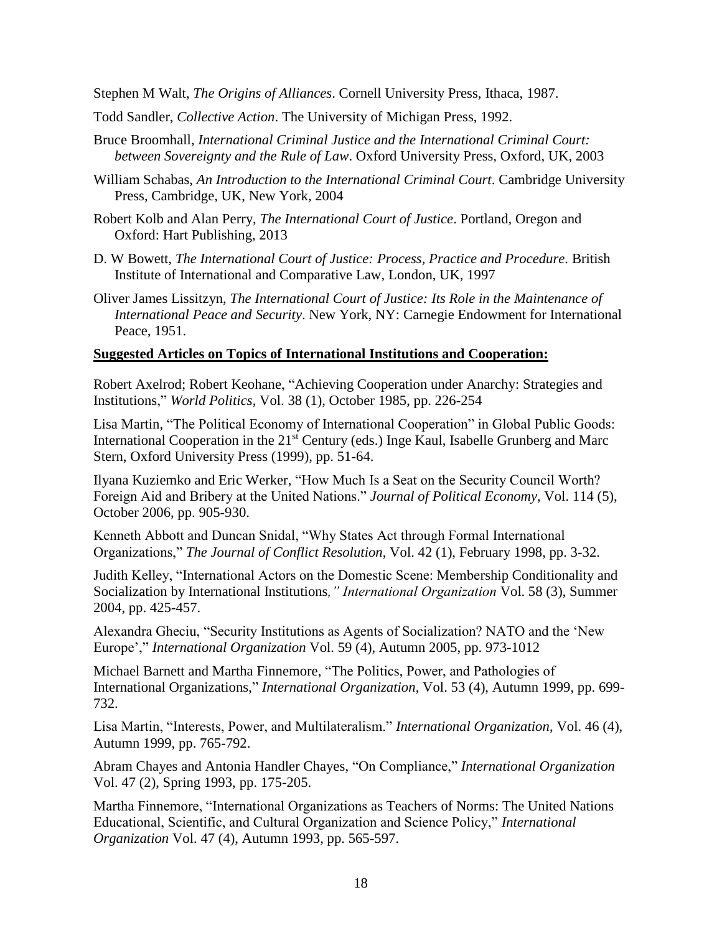Stephen M Walt, *The Origins of Alliances*. Cornell University Press, Ithaca, 1987.

- Todd Sandler, *Collective Action*. The University of Michigan Press, 1992.
- Bruce Broomhall, *International Criminal Justice and the International Criminal Court: between Sovereignty and the Rule of Law*. Oxford University Press, Oxford, UK, 2003
- William Schabas, *An Introduction to the International Criminal Court*. Cambridge University Press, Cambridge, UK, New York, 2004
- Robert Kolb and Alan Perry, *The International Court of Justice*. Portland, Oregon and Oxford: Hart Publishing, 2013
- D. W Bowett, *The International Court of Justice: Process, Practice and Procedure*. British Institute of International and Comparative Law, London, UK, 1997
- Oliver James Lissitzyn, *The International Court of Justice: Its Role in the Maintenance of International Peace and Security*. New York, NY: Carnegie Endowment for International Peace, 1951.

#### **Suggested Articles on Topics of International Institutions and Cooperation:**

Robert Axelrod; Robert Keohane, "Achieving Cooperation under Anarchy: Strategies and Institutions," *World Politics*, Vol. 38 (1), October 1985, pp. 226-254

Lisa Martin, "The Political Economy of International Cooperation" in Global Public Goods: International Cooperation in the 21<sup>st</sup> Century (eds.) Inge Kaul, Isabelle Grunberg and Marc Stern, Oxford University Press (1999), pp. 51-64.

Ilyana Kuziemko and Eric Werker, "How Much Is a Seat on the Security Council Worth? Foreign Aid and Bribery at the United Nations." *Journal of Political Economy*, Vol. 114 (5), October 2006, pp. 905-930.

Kenneth Abbott and Duncan Snidal, "Why States Act through Formal International Organizations," *The Journal of Conflict Resolution*, Vol. 42 (1), February 1998, pp. 3-32.

Judith Kelley, "International Actors on the Domestic Scene: Membership Conditionality and Socialization by International Institutions*," International Organization* Vol. 58 (3), Summer 2004, pp. 425-457.

Alexandra Gheciu, "Security Institutions as Agents of Socialization? NATO and the 'New Europe'," *International Organization* Vol. 59 (4), Autumn 2005, pp. 973-1012

Michael Barnett and Martha Finnemore, "The Politics, Power, and Pathologies of International Organizations," *International Organization*, Vol. 53 (4), Autumn 1999, pp. 699- 732.

Lisa Martin, "Interests, Power, and Multilateralism." *International Organization*, Vol. 46 (4), Autumn 1999, pp. 765-792.

Abram Chayes and Antonia Handler Chayes, "On Compliance," *International Organization* Vol. 47 (2), Spring 1993, pp. 175-205.

Martha Finnemore, "International Organizations as Teachers of Norms: The United Nations Educational, Scientific, and Cultural Organization and Science Policy," *International Organization* Vol. 47 (4), Autumn 1993, pp. 565-597.